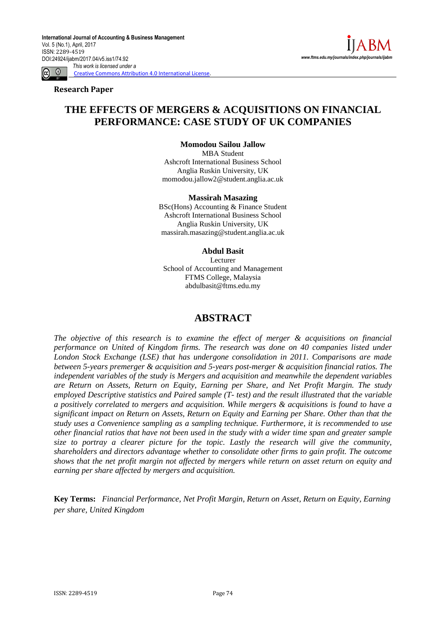**Research Paper**

# **THE EFFECTS OF MERGERS & ACQUISITIONS ON FINANCIAL PERFORMANCE: CASE STUDY OF UK COMPANIES**

**Momodou Sailou Jallow** MBA Student Ashcroft International Business School Anglia Ruskin University, UK momodou.jallow2@student.anglia.ac.uk

#### **Massirah Masazing**

BSc(Hons) Accounting & Finance Student Ashcroft International Business School Anglia Ruskin University, UK massirah.masazing@student.anglia.ac.uk

#### **Abdul Basit**

Lecturer School of Accounting and Management FTMS College, Malaysia abdulbasit@ftms.edu.my

# **ABSTRACT**

*The objective of this research is to examine the effect of merger & acquisitions on financial performance on United of Kingdom firms. The research was done on 40 companies listed under London Stock Exchange (LSE) that has undergone consolidation in 2011. Comparisons are made between 5-years premerger & acquisition and 5-years post-merger & acquisition financial ratios. The independent variables of the study is Mergers and acquisition and meanwhile the dependent variables are Return on Assets, Return on Equity, Earning per Share, and Net Profit Margin. The study employed Descriptive statistics and Paired sample (T- test) and the result illustrated that the variable a positively correlated to mergers and acquisition. While mergers & acquisitions is found to have a significant impact on Return on Assets, Return on Equity and Earning per Share. Other than that the study uses a Convenience sampling as a sampling technique. Furthermore, it is recommended to use other financial ratios that have not been used in the study with a wider time span and greater sample size to portray a clearer picture for the topic. Lastly the research will give the community, shareholders and directors advantage whether to consolidate other firms to gain profit. The outcome shows that the net profit margin not affected by mergers while return on asset return on equity and earning per share affected by mergers and acquisition.*

**Key Terms:** *Financial Performance, Net Profit Margin, Return on Asset, Return on Equity, Earning per share, United Kingdom*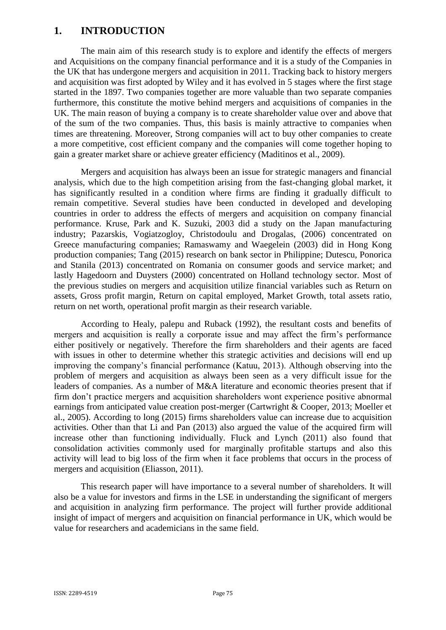# **1. INTRODUCTION**

The main aim of this research study is to explore and identify the effects of mergers and Acquisitions on the company financial performance and it is a study of the Companies in the UK that has undergone mergers and acquisition in 2011. Tracking back to history mergers and acquisition was first adopted by Wiley and it has evolved in 5 stages where the first stage started in the 1897. Two companies together are more valuable than two separate companies furthermore, this constitute the motive behind mergers and acquisitions of companies in the UK. The main reason of buying a company is to create shareholder value over and above that of the sum of the two companies. Thus, this basis is mainly attractive to companies when times are threatening. Moreover, Strong companies will act to buy other companies to create a more competitive, cost efficient company and the companies will come together hoping to gain a greater market share or achieve greater efficiency (Maditinos et al., 2009).

Mergers and acquisition has always been an issue for strategic managers and financial analysis, which due to the high competition arising from the fast-changing global market, it has significantly resulted in a condition where firms are finding it gradually difficult to remain competitive. Several studies have been conducted in developed and developing countries in order to address the effects of mergers and acquisition on company financial performance. Kruse, Park and K. Suzuki, 2003 did a study on the Japan manufacturing industry; Pazarskis, Vogiatzogloy, Christodoulu and Drogalas, (2006) concentrated on Greece manufacturing companies; Ramaswamy and Waegelein (2003) did in Hong Kong production companies; Tang (2015) research on bank sector in Philippine; Dutescu, Ponorica and Stanila (2013) concentrated on Romania on consumer goods and service market; and lastly Hagedoorn and Duysters (2000) concentrated on Holland technology sector. Most of the previous studies on mergers and acquisition utilize financial variables such as Return on assets, Gross profit margin, Return on capital employed, Market Growth, total assets ratio, return on net worth, operational profit margin as their research variable.

According to Healy, palepu and Ruback (1992), the resultant costs and benefits of mergers and acquisition is really a corporate issue and may affect the firm's performance either positively or negatively. Therefore the firm shareholders and their agents are faced with issues in other to determine whether this strategic activities and decisions will end up improving the company's financial performance (Katuu, 2013). Although observing into the problem of mergers and acquisition as always been seen as a very difficult issue for the leaders of companies. As a number of M&A literature and economic theories present that if firm don't practice mergers and acquisition shareholders wont experience positive abnormal earnings from anticipated value creation post-merger (Cartwright & Cooper, 2013; Moeller et al., 2005). According to long (2015) firms shareholders value can increase due to acquisition activities. Other than that Li and Pan (2013) also argued the value of the acquired firm will increase other than functioning individually. Fluck and Lynch (2011) also found that consolidation activities commonly used for marginally profitable startups and also this activity will lead to big loss of the firm when it face problems that occurs in the process of mergers and acquisition (Eliasson, 2011).

This research paper will have importance to a several number of shareholders. It will also be a value for investors and firms in the LSE in understanding the significant of mergers and acquisition in analyzing firm performance. The project will further provide additional insight of impact of mergers and acquisition on financial performance in UK, which would be value for researchers and academicians in the same field.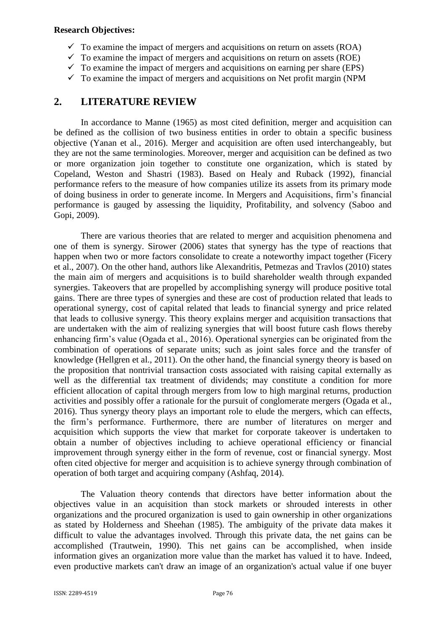### **Research Objectives:**

- $\checkmark$  To examine the impact of mergers and acquisitions on return on assets (ROA)
- $\checkmark$  To examine the impact of mergers and acquisitions on return on assets (ROE)
- $\checkmark$  To examine the impact of mergers and acquisitions on earning per share (EPS)
- $\checkmark$  To examine the impact of mergers and acquisitions on Net profit margin (NPM)

# **2. LITERATURE REVIEW**

In accordance to Manne (1965) as most cited definition, merger and acquisition can be defined as the collision of two business entities in order to obtain a specific business objective (Yanan et al., 2016). Merger and acquisition are often used interchangeably, but they are not the same terminologies. Moreover, merger and acquisition can be defined as two or more organization join together to constitute one organization, which is stated by Copeland, Weston and Shastri (1983). Based on Healy and Ruback (1992), financial performance refers to the measure of how companies utilize its assets from its primary mode of doing business in order to generate income. In Mergers and Acquisitions, firm's financial performance is gauged by assessing the liquidity, Profitability, and solvency (Saboo and Gopi, 2009).

There are various theories that are related to merger and acquisition phenomena and one of them is synergy. Sirower (2006) states that synergy has the type of reactions that happen when two or more factors consolidate to create a noteworthy impact together (Ficery et al., 2007). On the other hand, authors like Alexandritis, Petmezas and Travlos (2010) states the main aim of mergers and acquisitions is to build shareholder wealth through expanded synergies. Takeovers that are propelled by accomplishing synergy will produce positive total gains. There are three types of synergies and these are cost of production related that leads to operational synergy, cost of capital related that leads to financial synergy and price related that leads to collusive synergy. This theory explains merger and acquisition transactions that are undertaken with the aim of realizing synergies that will boost future cash flows thereby enhancing firm's value (Ogada et al., 2016). Operational synergies can be originated from the combination of operations of separate units; such as joint sales force and the transfer of knowledge (Hellgren et al., 2011). On the other hand, the financial synergy theory is based on the proposition that nontrivial transaction costs associated with raising capital externally as well as the differential tax treatment of dividends; may constitute a condition for more efficient allocation of capital through mergers from low to high marginal returns, production activities and possibly offer a rationale for the pursuit of conglomerate mergers (Ogada et al., 2016). Thus synergy theory plays an important role to elude the mergers, which can effects, the firm's performance. Furthermore, there are number of literatures on merger and acquisition which supports the view that market for corporate takeover is undertaken to obtain a number of objectives including to achieve operational efficiency or financial improvement through synergy either in the form of revenue, cost or financial synergy. Most often cited objective for merger and acquisition is to achieve synergy through combination of operation of both target and acquiring company (Ashfaq, 2014).

The Valuation theory contends that directors have better information about the objectives value in an acquisition than stock markets or shrouded interests in other organizations and the procured organization is used to gain ownership in other organizations as stated by Holderness and Sheehan (1985). The ambiguity of the private data makes it difficult to value the advantages involved. Through this private data, the net gains can be accomplished (Trautwein, 1990). This net gains can be accomplished, when inside information gives an organization more value than the market has valued it to have. Indeed, even productive markets can't draw an image of an organization's actual value if one buyer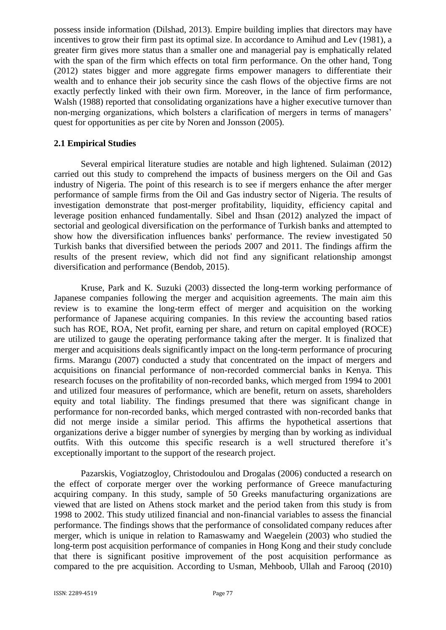possess inside information (Dilshad, 2013). Empire building implies that directors may have incentives to grow their firm past its optimal size. In accordance to Amihud and Lev (1981), a greater firm gives more status than a smaller one and managerial pay is emphatically related with the span of the firm which effects on total firm performance. On the other hand, Tong (2012) states bigger and more aggregate firms empower managers to differentiate their wealth and to enhance their job security since the cash flows of the objective firms are not exactly perfectly linked with their own firm. Moreover, in the lance of firm performance, Walsh (1988) reported that consolidating organizations have a higher executive turnover than non-merging organizations, which bolsters a clarification of mergers in terms of managers' quest for opportunities as per cite by Noren and Jonsson (2005).

# **2.1 Empirical Studies**

Several empirical literature studies are notable and high lightened. Sulaiman (2012) carried out this study to comprehend the impacts of business mergers on the Oil and Gas industry of Nigeria. The point of this research is to see if mergers enhance the after merger performance of sample firms from the Oil and Gas industry sector of Nigeria. The results of investigation demonstrate that post-merger profitability, liquidity, efficiency capital and leverage position enhanced fundamentally. Sibel and Ihsan (2012) analyzed the impact of sectorial and geological diversification on the performance of Turkish banks and attempted to show how the diversification influences banks' performance. The review investigated 50 Turkish banks that diversified between the periods 2007 and 2011. The findings affirm the results of the present review, which did not find any significant relationship amongst diversification and performance (Bendob, 2015).

Kruse, Park and K. Suzuki (2003) dissected the long-term working performance of Japanese companies following the merger and acquisition agreements. The main aim this review is to examine the long-term effect of merger and acquisition on the working performance of Japanese acquiring companies. In this review the accounting based ratios such has ROE, ROA, Net profit, earning per share, and return on capital employed (ROCE) are utilized to gauge the operating performance taking after the merger. It is finalized that merger and acquisitions deals significantly impact on the long-term performance of procuring firms. Marangu (2007) conducted a study that concentrated on the impact of mergers and acquisitions on financial performance of non-recorded commercial banks in Kenya. This research focuses on the profitability of non-recorded banks, which merged from 1994 to 2001 and utilized four measures of performance, which are benefit, return on assets, shareholders equity and total liability. The findings presumed that there was significant change in performance for non-recorded banks, which merged contrasted with non-recorded banks that did not merge inside a similar period. This affirms the hypothetical assertions that organizations derive a bigger number of synergies by merging than by working as individual outfits. With this outcome this specific research is a well structured therefore it's exceptionally important to the support of the research project.

Pazarskis, Vogiatzogloy, Christodoulou and Drogalas (2006) conducted a research on the effect of corporate merger over the working performance of Greece manufacturing acquiring company. In this study, sample of 50 Greeks manufacturing organizations are viewed that are listed on Athens stock market and the period taken from this study is from 1998 to 2002. This study utilized financial and non-financial variables to assess the financial performance. The findings shows that the performance of consolidated company reduces after merger, which is unique in relation to Ramaswamy and Waegelein (2003) who studied the long-term post acquisition performance of companies in Hong Kong and their study conclude that there is significant positive improvement of the post acquisition performance as compared to the pre acquisition. According to Usman, Mehboob, Ullah and Farooq (2010)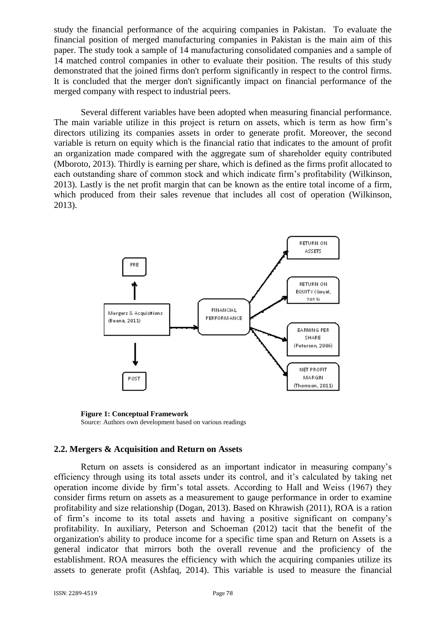study the financial performance of the acquiring companies in Pakistan. To evaluate the financial position of merged manufacturing companies in Pakistan is the main aim of this paper. The study took a sample of 14 manufacturing consolidated companies and a sample of 14 matched control companies in other to evaluate their position. The results of this study demonstrated that the joined firms don't perform significantly in respect to the control firms. It is concluded that the merger don't significantly impact on financial performance of the merged company with respect to industrial peers.

Several different variables have been adopted when measuring financial performance. The main variable utilize in this project is return on assets, which is term as how firm's directors utilizing its companies assets in order to generate profit. Moreover, the second variable is return on equity which is the financial ratio that indicates to the amount of profit an organization made compared with the aggregate sum of shareholder equity contributed (Mboroto, 2013). Thirdly is earning per share, which is defined as the firms profit allocated to each outstanding share of common stock and which indicate firm's profitability (Wilkinson, 2013). Lastly is the net profit margin that can be known as the entire total income of a firm, which produced from their sales revenue that includes all cost of operation (Wilkinson, 2013).



**Figure 1: Conceptual Framework** Source: Authors own development based on various readings

#### **2.2. Mergers & Acquisition and Return on Assets**

Return on assets is considered as an important indicator in measuring company's efficiency through using its total assets under its control, and it's calculated by taking net operation income divide by firm's total assets. According to Hall and Weiss (1967) they consider firms return on assets as a measurement to gauge performance in order to examine profitability and size relationship (Dogan, 2013). Based on Khrawish (2011), ROA is a ration of firm's income to its total assets and having a positive significant on company's profitability. In auxiliary, Peterson and Schoeman (2012) tacit that the benefit of the organization's ability to produce income for a specific time span and Return on Assets is a general indicator that mirrors both the overall revenue and the proficiency of the establishment. ROA measures the efficiency with which the acquiring companies utilize its assets to generate profit (Ashfaq, 2014). This variable is used to measure the financial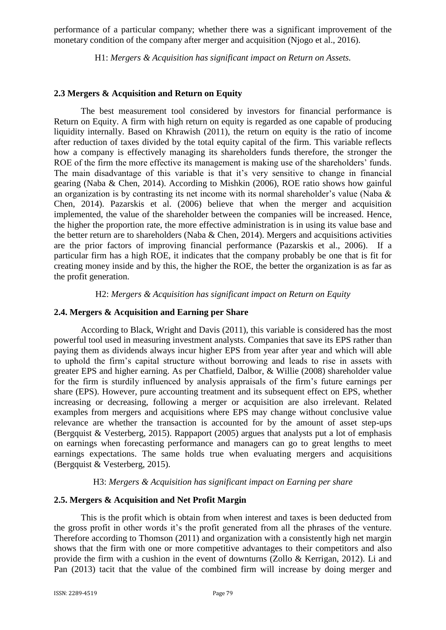performance of a particular company; whether there was a significant improvement of the monetary condition of the company after merger and acquisition (Njogo et al., 2016).

H1: *Mergers & Acquisition has significant impact on Return on Assets.*

# **2.3 Mergers & Acquisition and Return on Equity**

The best measurement tool considered by investors for financial performance is Return on Equity. A firm with high return on equity is regarded as one capable of producing liquidity internally. Based on Khrawish (2011), the return on equity is the ratio of income after reduction of taxes divided by the total equity capital of the firm. This variable reflects how a company is effectively managing its shareholders funds therefore, the stronger the ROE of the firm the more effective its management is making use of the shareholders' funds. The main disadvantage of this variable is that it's very sensitive to change in financial gearing (Naba & Chen, 2014). According to Mishkin (2006), ROE ratio shows how gainful an organization is by contrasting its net income with its normal shareholder's value (Naba & Chen, 2014). Pazarskis et al. (2006) believe that when the merger and acquisition implemented, the value of the shareholder between the companies will be increased. Hence, the higher the proportion rate, the more effective administration is in using its value base and the better return are to shareholders (Naba  $&$  Chen, 2014). Mergers and acquisitions activities are the prior factors of improving financial performance (Pazarskis et al., 2006). If a particular firm has a high ROE, it indicates that the company probably be one that is fit for creating money inside and by this, the higher the ROE, the better the organization is as far as the profit generation.

H2: *Mergers & Acquisition has significant impact on Return on Equity*

### **2.4. Mergers & Acquisition and Earning per Share**

According to Black, Wright and Davis (2011), this variable is considered has the most powerful tool used in measuring investment analysts. Companies that save its EPS rather than paying them as dividends always incur higher EPS from year after year and which will able to uphold the firm's capital structure without borrowing and leads to rise in assets with greater EPS and higher earning. As per Chatfield, Dalbor, & Willie (2008) shareholder value for the firm is sturdily influenced by analysis appraisals of the firm's future earnings per share (EPS). However, pure accounting treatment and its subsequent effect on EPS, whether increasing or decreasing, following a merger or acquisition are also irrelevant. Related examples from mergers and acquisitions where EPS may change without conclusive value relevance are whether the transaction is accounted for by the amount of asset step-ups (Bergquist & Vesterberg, 2015). Rappaport (2005) argues that analysts put a lot of emphasis on earnings when forecasting performance and managers can go to great lengths to meet earnings expectations. The same holds true when evaluating mergers and acquisitions (Bergquist & Vesterberg, 2015).

### H3: *Mergers & Acquisition has significant impact on Earning per share*

# **2.5. Mergers & Acquisition and Net Profit Margin**

This is the profit which is obtain from when interest and taxes is been deducted from the gross profit in other words it's the profit generated from all the phrases of the venture. Therefore according to Thomson (2011) and organization with a consistently high net margin shows that the firm with one or more competitive advantages to their competitors and also provide the firm with a cushion in the event of downturns (Zollo & Kerrigan, 2012). Li and Pan (2013) tacit that the value of the combined firm will increase by doing merger and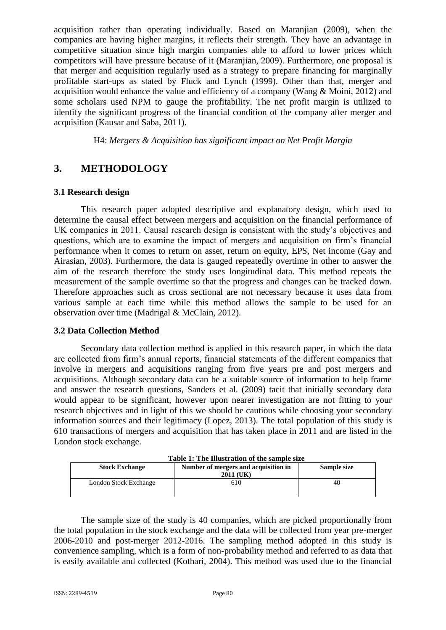acquisition rather than operating individually. Based on Maranjian (2009), when the companies are having higher margins, it reflects their strength. They have an advantage in competitive situation since high margin companies able to afford to lower prices which competitors will have pressure because of it (Maranjian, 2009). Furthermore, one proposal is that merger and acquisition regularly used as a strategy to prepare financing for marginally profitable start-ups as stated by Fluck and Lynch (1999). Other than that, merger and acquisition would enhance the value and efficiency of a company (Wang & Moini, 2012) and some scholars used NPM to gauge the profitability. The net profit margin is utilized to identify the significant progress of the financial condition of the company after merger and acquisition (Kausar and Saba, 2011).

H4: *Mergers & Acquisition has significant impact on Net Profit Margin*

# **3. METHODOLOGY**

### **3.1 Research design**

This research paper adopted descriptive and explanatory design, which used to determine the causal effect between mergers and acquisition on the financial performance of UK companies in 2011. Causal research design is consistent with the study's objectives and questions, which are to examine the impact of mergers and acquisition on firm's financial performance when it comes to return on asset, return on equity, EPS, Net income (Gay and Airasian, 2003). Furthermore, the data is gauged repeatedly overtime in other to answer the aim of the research therefore the study uses longitudinal data. This method repeats the measurement of the sample overtime so that the progress and changes can be tracked down. Therefore approaches such as cross sectional are not necessary because it uses data from various sample at each time while this method allows the sample to be used for an observation over time (Madrigal & McClain, 2012).

### **3.2 Data Collection Method**

Secondary data collection method is applied in this research paper, in which the data are collected from firm's annual reports, financial statements of the different companies that involve in mergers and acquisitions ranging from five years pre and post mergers and acquisitions. Although secondary data can be a suitable source of information to help frame and answer the research questions, Sanders et al. (2009) tacit that initially secondary data would appear to be significant, however upon nearer investigation are not fitting to your research objectives and in light of this we should be cautious while choosing your secondary information sources and their legitimacy (Lopez, 2013). The total population of this study is 610 transactions of mergers and acquisition that has taken place in 2011 and are listed in the London stock exchange.

| Table 1: The Illustration of the sample size |                                      |    |  |  |
|----------------------------------------------|--------------------------------------|----|--|--|
| <b>Stock Exchange</b>                        | Number of mergers and acquisition in |    |  |  |
|                                              | 2011 (UK)                            |    |  |  |
| London Stock Exchange                        | 610                                  | 40 |  |  |

The sample size of the study is 40 companies, which are picked proportionally from the total population in the stock exchange and the data will be collected from year pre-merger 2006-2010 and post-merger 2012-2016. The sampling method adopted in this study is convenience sampling, which is a form of non-probability method and referred to as data that is easily available and collected (Kothari, 2004). This method was used due to the financial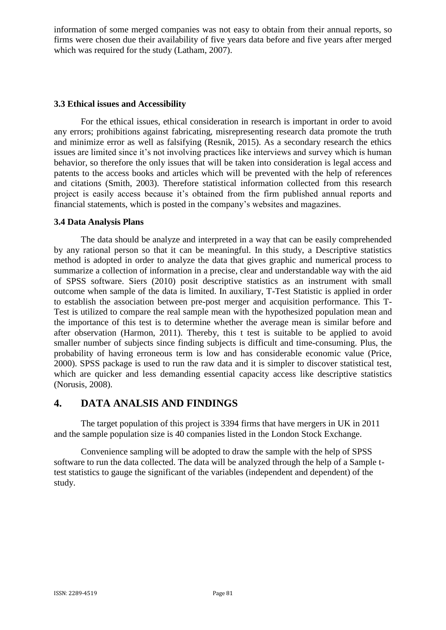information of some merged companies was not easy to obtain from their annual reports, so firms were chosen due their availability of five years data before and five years after merged which was required for the study (Latham, 2007).

### **3.3 Ethical issues and Accessibility**

For the ethical issues, ethical consideration in research is important in order to avoid any errors; prohibitions against fabricating, misrepresenting research data promote the truth and minimize error as well as falsifying (Resnik, 2015). As a secondary research the ethics issues are limited since it's not involving practices like interviews and survey which is human behavior, so therefore the only issues that will be taken into consideration is legal access and patents to the access books and articles which will be prevented with the help of references and citations (Smith, 2003). Therefore statistical information collected from this research project is easily access because it's obtained from the firm published annual reports and financial statements, which is posted in the company's websites and magazines.

### **3.4 Data Analysis Plans**

The data should be analyze and interpreted in a way that can be easily comprehended by any rational person so that it can be meaningful. In this study, a Descriptive statistics method is adopted in order to analyze the data that gives graphic and numerical process to summarize a collection of information in a precise, clear and understandable way with the aid of SPSS software. Siers (2010) posit descriptive statistics as an instrument with small outcome when sample of the data is limited. In auxiliary, T-Test Statistic is applied in order to establish the association between pre-post merger and acquisition performance. This T-Test is utilized to compare the real sample mean with the hypothesized population mean and the importance of this test is to determine whether the average mean is similar before and after observation (Harmon, 2011). Thereby, this t test is suitable to be applied to avoid smaller number of subjects since finding subjects is difficult and time-consuming. Plus, the probability of having erroneous term is low and has considerable economic value (Price, 2000). SPSS package is used to run the raw data and it is simpler to discover statistical test, which are quicker and less demanding essential capacity access like descriptive statistics (Norusis, 2008).

# **4. DATA ANALSIS AND FINDINGS**

The target population of this project is 3394 firms that have mergers in UK in 2011 and the sample population size is 40 companies listed in the London Stock Exchange.

Convenience sampling will be adopted to draw the sample with the help of SPSS software to run the data collected. The data will be analyzed through the help of a Sample ttest statistics to gauge the significant of the variables (independent and dependent) of the study.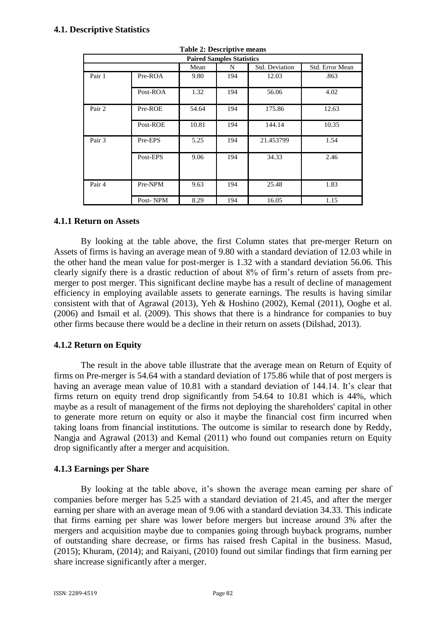# **4.1. Descriptive Statistics**

| rabic $\equiv$ : Descriptive incans |          |       |     |                |                 |  |
|-------------------------------------|----------|-------|-----|----------------|-----------------|--|
| <b>Paired Samples Statistics</b>    |          |       |     |                |                 |  |
|                                     |          | Mean  | N   | Std. Deviation | Std. Error Mean |  |
| Pair 1                              | Pre-ROA  | 9.80  | 194 | 12.03          | .863            |  |
|                                     | Post-ROA | 1.32  | 194 | 56.06          | 4.02            |  |
| Pair 2                              | Pre-ROE  | 54.64 | 194 | 175.86         | 12.63           |  |
|                                     | Post-ROE | 10.81 | 194 | 144.14         | 10.35           |  |
| Pair 3                              | Pre-EPS  | 5.25  | 194 | 21.453799      | 1.54            |  |
|                                     | Post-EPS | 9.06  | 194 | 34.33          | 2.46            |  |
| Pair 4                              | Pre-NPM  | 9.63  | 194 | 25.48          | 1.83            |  |
|                                     | Post-NPM | 8.29  | 194 | 16.05          | 1.15            |  |

**Table 2: Descriptive means**

### **4.1.1 Return on Assets**

By looking at the table above, the first Column states that pre-merger Return on Assets of firms is having an average mean of 9.80 with a standard deviation of 12.03 while in the other hand the mean value for post-merger is 1.32 with a standard deviation 56.06. This clearly signify there is a drastic reduction of about 8% of firm's return of assets from premerger to post merger. This significant decline maybe has a result of decline of management efficiency in employing available assets to generate earnings. The results is having similar consistent with that of Agrawal (2013), Yeh & Hoshino (2002), Kemal (2011), Ooghe et al. (2006) and Ismail et al. (2009). This shows that there is a hindrance for companies to buy other firms because there would be a decline in their return on assets (Dilshad, 2013).

#### **4.1.2 Return on Equity**

The result in the above table illustrate that the average mean on Return of Equity of firms on Pre-merger is 54.64 with a standard deviation of 175.86 while that of post mergers is having an average mean value of 10.81 with a standard deviation of 144.14. It's clear that firms return on equity trend drop significantly from 54.64 to 10.81 which is 44%, which maybe as a result of management of the firms not deploying the shareholders' capital in other to generate more return on equity or also it maybe the financial cost firm incurred when taking loans from financial institutions. The outcome is similar to research done by Reddy, Nangja and Agrawal (2013) and Kemal (2011) who found out companies return on Equity drop significantly after a merger and acquisition.

#### **4.1.3 Earnings per Share**

By looking at the table above, it's shown the average mean earning per share of companies before merger has 5.25 with a standard deviation of 21.45, and after the merger earning per share with an average mean of 9.06 with a standard deviation 34.33. This indicate that firms earning per share was lower before mergers but increase around 3% after the mergers and acquisition maybe due to companies going through buyback programs, number of outstanding share decrease, or firms has raised fresh Capital in the business. Masud, (2015); Khuram, (2014); and Raiyani, (2010) found out similar findings that firm earning per share increase significantly after a merger.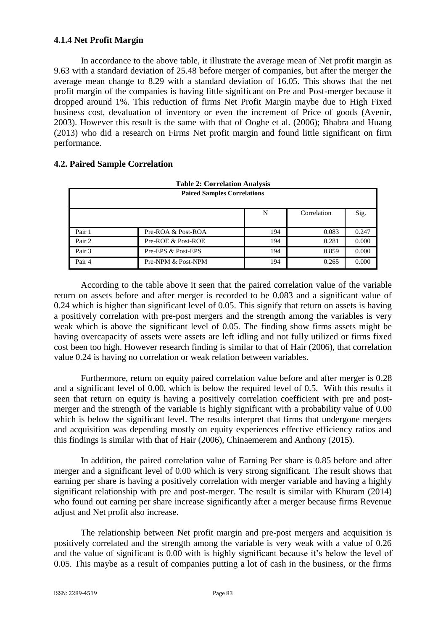# **4.1.4 Net Profit Margin**

In accordance to the above table, it illustrate the average mean of Net profit margin as 9.63 with a standard deviation of 25.48 before merger of companies, but after the merger the average mean change to 8.29 with a standard deviation of 16.05. This shows that the net profit margin of the companies is having little significant on Pre and Post-merger because it dropped around 1%. This reduction of firms Net Profit Margin maybe due to High Fixed business cost, devaluation of inventory or even the increment of Price of goods (Avenir, 2003). However this result is the same with that of Ooghe et al. (2006); Bhabra and Huang (2013) who did a research on Firms Net profit margin and found little significant on firm performance.

| <b>Table 2: Correlation Analysis</b> |                    |     |             |       |  |
|--------------------------------------|--------------------|-----|-------------|-------|--|
| <b>Paired Samples Correlations</b>   |                    |     |             |       |  |
|                                      |                    | N   | Correlation | Sig.  |  |
| Pair 1                               | Pre-ROA & Post-ROA | 194 | 0.083       | 0.247 |  |
| Pair 2                               | Pre-ROE & Post-ROE | 194 | 0.281       | 0.000 |  |
| Pair 3                               | Pre-EPS & Post-EPS | 194 | 0.859       | 0.000 |  |
| Pair 4                               | Pre-NPM & Post-NPM | 194 | 0.265       | 0.000 |  |

# **4.2. Paired Sample Correlation**

According to the table above it seen that the paired correlation value of the variable return on assets before and after merger is recorded to be 0.083 and a significant value of 0.24 which is higher than significant level of 0.05. This signify that return on assets is having a positively correlation with pre-post mergers and the strength among the variables is very weak which is above the significant level of 0.05. The finding show firms assets might be having overcapacity of assets were assets are left idling and not fully utilized or firms fixed cost been too high. However research finding is similar to that of Hair (2006), that correlation value 0.24 is having no correlation or weak relation between variables.

Furthermore, return on equity paired correlation value before and after merger is 0.28 and a significant level of 0.00, which is below the required level of 0.5. With this results it seen that return on equity is having a positively correlation coefficient with pre and postmerger and the strength of the variable is highly significant with a probability value of 0.00 which is below the significant level. The results interpret that firms that undergone mergers and acquisition was depending mostly on equity experiences effective efficiency ratios and this findings is similar with that of Hair (2006), Chinaemerem and Anthony (2015).

In addition, the paired correlation value of Earning Per share is 0.85 before and after merger and a significant level of 0.00 which is very strong significant. The result shows that earning per share is having a positively correlation with merger variable and having a highly significant relationship with pre and post-merger. The result is similar with Khuram (2014) who found out earning per share increase significantly after a merger because firms Revenue adjust and Net profit also increase.

The relationship between Net profit margin and pre-post mergers and acquisition is positively correlated and the strength among the variable is very weak with a value of 0.26 and the value of significant is 0.00 with is highly significant because it's below the level of 0.05. This maybe as a result of companies putting a lot of cash in the business, or the firms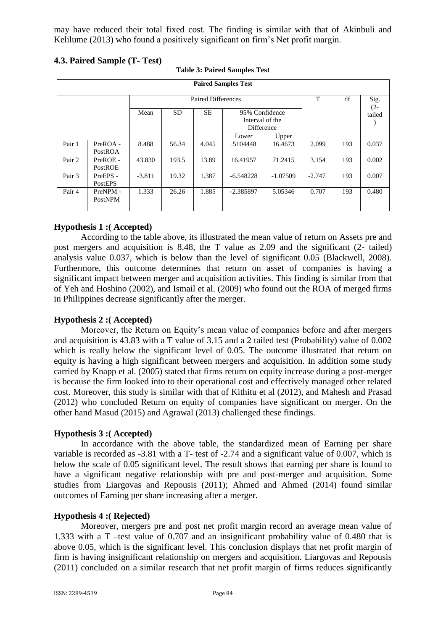may have reduced their total fixed cost. The finding is similar with that of Akinbuli and Kelilume (2013) who found a positively significant on firm's Net profit margin.

# **4.3. Paired Sample (T- Test)**

| <b>Paired Samples Test</b> |                     |          |           |           |                                                 |            |                |     |        |
|----------------------------|---------------------|----------|-----------|-----------|-------------------------------------------------|------------|----------------|-----|--------|
|                            | Paired Differences  |          |           |           | T                                               | df         | Sig.<br>$(2 -$ |     |        |
|                            |                     | Mean     | <b>SD</b> | <b>SE</b> | 95% Confidence<br>Interval of the<br>Difference |            |                |     | tailed |
|                            |                     |          |           |           | Lower                                           | Upper      |                |     |        |
| Pair 1                     | PreROA-<br>PostROA  | 8.488    | 56.34     | 4.045     | .5104448                                        | 16.4673    | 2.099          | 193 | 0.037  |
| Pair 2                     | PreROE -<br>PostROE | 43.830   | 193.5     | 13.89     | 16.41957                                        | 71.2415    | 3.154          | 193 | 0.002  |
| Pair 3                     | PreEPS -<br>PostEPS | $-3.811$ | 19.32     | 1.387     | $-6.548228$                                     | $-1.07509$ | $-2.747$       | 193 | 0.007  |
| Pair 4                     | PreNPM-<br>PostNPM  | 1.333    | 26.26     | 1.885     | $-2.385897$                                     | 5.05346    | 0.707          | 193 | 0.480  |

### **Table 3: Paired Samples Test**

# **Hypothesis 1 :( Accepted)**

According to the table above, its illustrated the mean value of return on Assets pre and post mergers and acquisition is 8.48, the T value as 2.09 and the significant (2- tailed) analysis value 0.037, which is below than the level of significant 0.05 (Blackwell, 2008). Furthermore, this outcome determines that return on asset of companies is having a significant impact between merger and acquisition activities. This finding is similar from that of Yeh and Hoshino (2002), and Ismail et al. (2009) who found out the ROA of merged firms in Philippines decrease significantly after the merger.

### **Hypothesis 2 :( Accepted)**

Moreover, the Return on Equity's mean value of companies before and after mergers and acquisition is 43.83 with a T value of 3.15 and a 2 tailed test (Probability) value of 0.002 which is really below the significant level of 0.05. The outcome illustrated that return on equity is having a high significant between mergers and acquisition. In addition some study carried by Knapp et al. (2005) stated that firms return on equity increase during a post-merger is because the firm looked into to their operational cost and effectively managed other related cost. Moreover, this study is similar with that of Kithitu et al (2012), and Mahesh and Prasad (2012) who concluded Return on equity of companies have significant on merger. On the other hand Masud (2015) and Agrawal (2013) challenged these findings.

### **Hypothesis 3 :( Accepted)**

In accordance with the above table, the standardized mean of Earning per share variable is recorded as -3.81 with a T- test of -2.74 and a significant value of 0.007, which is below the scale of 0.05 significant level. The result shows that earning per share is found to have a significant negative relationship with pre and post-merger and acquisition. Some studies from Liargovas and Repousis (2011); Ahmed and Ahmed (2014) found similar outcomes of Earning per share increasing after a merger.

### **Hypothesis 4 :( Rejected)**

Moreover, mergers pre and post net profit margin record an average mean value of 1.333 with a T –test value of 0.707 and an insignificant probability value of 0.480 that is above 0.05, which is the significant level. This conclusion displays that net profit margin of firm is having insignificant relationship on mergers and acquisition. Liargovas and Repousis (2011) concluded on a similar research that net profit margin of firms reduces significantly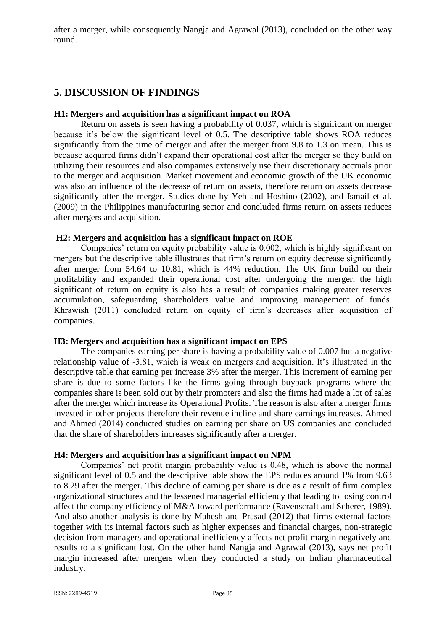after a merger, while consequently Nangja and Agrawal (2013), concluded on the other way round.

# **5. DISCUSSION OF FINDINGS**

### **H1: Mergers and acquisition has a significant impact on ROA**

Return on assets is seen having a probability of 0.037, which is significant on merger because it's below the significant level of 0.5. The descriptive table shows ROA reduces significantly from the time of merger and after the merger from 9.8 to 1.3 on mean. This is because acquired firms didn't expand their operational cost after the merger so they build on utilizing their resources and also companies extensively use their discretionary accruals prior to the merger and acquisition. Market movement and economic growth of the UK economic was also an influence of the decrease of return on assets, therefore return on assets decrease significantly after the merger. Studies done by Yeh and Hoshino (2002), and Ismail et al. (2009) in the Philippines manufacturing sector and concluded firms return on assets reduces after mergers and acquisition.

### **H2: Mergers and acquisition has a significant impact on ROE**

Companies' return on equity probability value is 0.002, which is highly significant on mergers but the descriptive table illustrates that firm's return on equity decrease significantly after merger from 54.64 to 10.81, which is 44% reduction. The UK firm build on their profitability and expanded their operational cost after undergoing the merger, the high significant of return on equity is also has a result of companies making greater reserves accumulation, safeguarding shareholders value and improving management of funds. Khrawish (2011) concluded return on equity of firm's decreases after acquisition of companies.

### **H3: Mergers and acquisition has a significant impact on EPS**

The companies earning per share is having a probability value of 0.007 but a negative relationship value of -3.81, which is weak on mergers and acquisition. It's illustrated in the descriptive table that earning per increase 3% after the merger. This increment of earning per share is due to some factors like the firms going through buyback programs where the companies share is been sold out by their promoters and also the firms had made a lot of sales after the merger which increase its Operational Profits. The reason is also after a merger firms invested in other projects therefore their revenue incline and share earnings increases. Ahmed and Ahmed (2014) conducted studies on earning per share on US companies and concluded that the share of shareholders increases significantly after a merger.

#### **H4: Mergers and acquisition has a significant impact on NPM**

Companies' net profit margin probability value is 0.48, which is above the normal significant level of 0.5 and the descriptive table show the EPS reduces around 1% from 9.63 to 8.29 after the merger. This decline of earning per share is due as a result of firm complex organizational structures and the lessened managerial efficiency that leading to losing control affect the company efficiency of M&A toward performance (Ravenscraft and Scherer, 1989). And also another analysis is done by Mahesh and Prasad (2012) that firms external factors together with its internal factors such as higher expenses and financial charges, non-strategic decision from managers and operational inefficiency affects net profit margin negatively and results to a significant lost. On the other hand Nangja and Agrawal (2013), says net profit margin increased after mergers when they conducted a study on Indian pharmaceutical industry.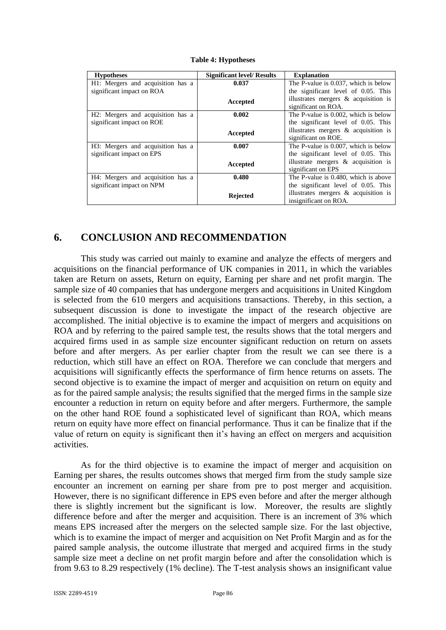| <b>Hypotheses</b>                 | <b>Significant level/ Results</b> | <b>Explanation</b>                      |
|-----------------------------------|-----------------------------------|-----------------------------------------|
| H1: Mergers and acquisition has a | 0.037                             | The P-value is 0.037, which is below    |
| significant impact on ROA         |                                   | the significant level of 0.05. This     |
|                                   | Accepted                          | illustrates mergers $\&$ acquisition is |
|                                   |                                   | significant on ROA.                     |
| H2: Mergers and acquisition has a | 0.002                             | The P-value is 0.002, which is below    |
| significant impact on ROE         |                                   | the significant level of 0.05. This     |
|                                   | Accepted                          | illustrates mergers $\&$ acquisition is |
|                                   |                                   | significant on ROE.                     |
| H3: Mergers and acquisition has a | 0.007                             | The P-value is 0.007, which is below    |
| significant impact on EPS         |                                   | the significant level of 0.05. This     |
|                                   | Accepted                          | illustrate mergers $\&$ acquisition is  |
|                                   |                                   | significant on EPS                      |
| H4: Mergers and acquisition has a | 0.480                             | The P-value is 0.480, which is above    |
| significant impact on NPM         |                                   | the significant level of 0.05. This     |
|                                   | Rejected                          | illustrates mergers $\&$ acquisition is |
|                                   |                                   | insignificant on ROA.                   |

**Table 4: Hypotheses**

# **6. CONCLUSION AND RECOMMENDATION**

This study was carried out mainly to examine and analyze the effects of mergers and acquisitions on the financial performance of UK companies in 2011, in which the variables taken are Return on assets, Return on equity, Earning per share and net profit margin. The sample size of 40 companies that has undergone mergers and acquisitions in United Kingdom is selected from the 610 mergers and acquisitions transactions. Thereby, in this section, a subsequent discussion is done to investigate the impact of the research objective are accomplished. The initial objective is to examine the impact of mergers and acquisitions on ROA and by referring to the paired sample test, the results shows that the total mergers and acquired firms used in as sample size encounter significant reduction on return on assets before and after mergers. As per earlier chapter from the result we can see there is a reduction, which still have an effect on ROA. Therefore we can conclude that mergers and acquisitions will significantly effects the sperformance of firm hence returns on assets. The second objective is to examine the impact of merger and acquisition on return on equity and as for the paired sample analysis; the results signified that the merged firms in the sample size encounter a reduction in return on equity before and after mergers. Furthermore, the sample on the other hand ROE found a sophisticated level of significant than ROA, which means return on equity have more effect on financial performance. Thus it can be finalize that if the value of return on equity is significant then it's having an effect on mergers and acquisition activities.

As for the third objective is to examine the impact of merger and acquisition on Earning per shares, the results outcomes shows that merged firm from the study sample size encounter an increment on earning per share from pre to post merger and acquisition. However, there is no significant difference in EPS even before and after the merger although there is slightly increment but the significant is low. Moreover, the results are slightly difference before and after the merger and acquisition. There is an increment of 3% which means EPS increased after the mergers on the selected sample size. For the last objective, which is to examine the impact of merger and acquisition on Net Profit Margin and as for the paired sample analysis, the outcome illustrate that merged and acquired firms in the study sample size meet a decline on net profit margin before and after the consolidation which is from 9.63 to 8.29 respectively (1% decline). The T-test analysis shows an insignificant value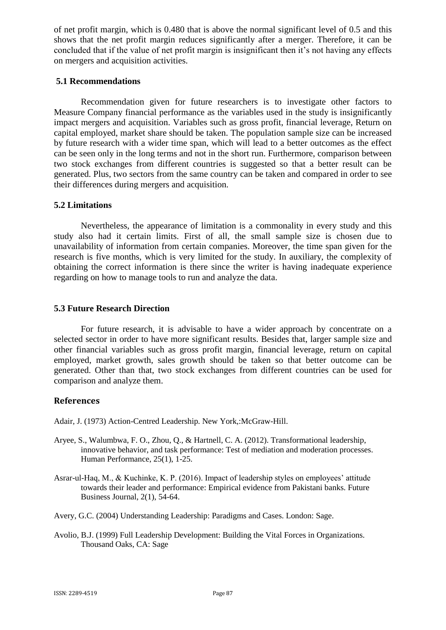of net profit margin, which is 0.480 that is above the normal significant level of 0.5 and this shows that the net profit margin reduces significantly after a merger. Therefore, it can be concluded that if the value of net profit margin is insignificant then it's not having any effects on mergers and acquisition activities.

## **5.1 Recommendations**

Recommendation given for future researchers is to investigate other factors to Measure Company financial performance as the variables used in the study is insignificantly impact mergers and acquisition. Variables such as gross profit, financial leverage, Return on capital employed, market share should be taken. The population sample size can be increased by future research with a wider time span, which will lead to a better outcomes as the effect can be seen only in the long terms and not in the short run. Furthermore, comparison between two stock exchanges from different countries is suggested so that a better result can be generated. Plus, two sectors from the same country can be taken and compared in order to see their differences during mergers and acquisition.

# **5.2 Limitations**

Nevertheless, the appearance of limitation is a commonality in every study and this study also had it certain limits. First of all, the small sample size is chosen due to unavailability of information from certain companies. Moreover, the time span given for the research is five months, which is very limited for the study. In auxiliary, the complexity of obtaining the correct information is there since the writer is having inadequate experience regarding on how to manage tools to run and analyze the data.

# **5.3 Future Research Direction**

For future research, it is advisable to have a wider approach by concentrate on a selected sector in order to have more significant results. Besides that, larger sample size and other financial variables such as gross profit margin, financial leverage, return on capital employed, market growth, sales growth should be taken so that better outcome can be generated. Other than that, two stock exchanges from different countries can be used for comparison and analyze them.

# **References**

Adair, J. (1973) Action-Centred Leadership. New York,:McGraw-Hill.

- Aryee, S., Walumbwa, F. O., Zhou, Q., & Hartnell, C. A. (2012). Transformational leadership, innovative behavior, and task performance: Test of mediation and moderation processes. Human Performance, 25(1), 1-25.
- Asrar-ul-Haq, M., & Kuchinke, K. P. (2016). Impact of leadership styles on employees' attitude towards their leader and performance: Empirical evidence from Pakistani banks. Future Business Journal, 2(1), 54-64.
- Avery, G.C. (2004) Understanding Leadership: Paradigms and Cases. London: Sage.
- Avolio, B.J. (1999) Full Leadership Development: Building the Vital Forces in Organizations. Thousand Oaks, CA: Sage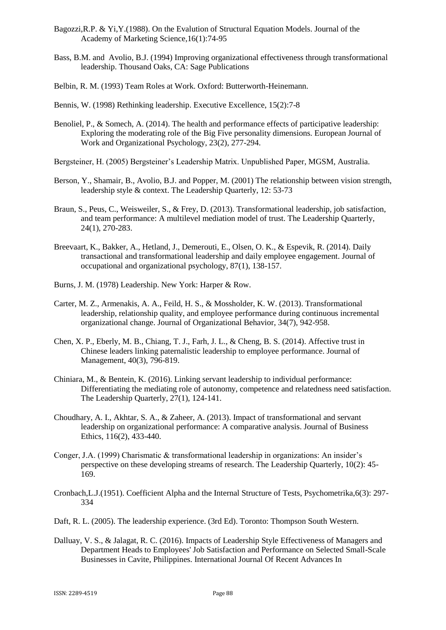- Bagozzi,R.P. & Yi,Y.(1988). On the Evalution of Structural Equation Models. Journal of the Academy of Marketing Science,16(1):74-95
- Bass, B.M. and Avolio, B.J. (1994) Improving organizational effectiveness through transformational leadership. Thousand Oaks, CA: Sage Publications
- Belbin, R. M. (1993) Team Roles at Work. Oxford: Butterworth-Heinemann.
- Bennis, W. (1998) Rethinking leadership. Executive Excellence, 15(2):7-8
- Benoliel, P., & Somech, A. (2014). The health and performance effects of participative leadership: Exploring the moderating role of the Big Five personality dimensions. European Journal of Work and Organizational Psychology, 23(2), 277-294.
- Bergsteiner, H. (2005) Bergsteiner's Leadership Matrix. Unpublished Paper, MGSM, Australia.
- Berson, Y., Shamair, B., Avolio, B.J. and Popper, M. (2001) The relationship between vision strength, leadership style & context. The Leadership Quarterly, 12: 53-73
- Braun, S., Peus, C., Weisweiler, S., & Frey, D. (2013). Transformational leadership, job satisfaction, and team performance: A multilevel mediation model of trust. The Leadership Quarterly, 24(1), 270-283.
- Breevaart, K., Bakker, A., Hetland, J., Demerouti, E., Olsen, O. K., & Espevik, R. (2014). Daily transactional and transformational leadership and daily employee engagement. Journal of occupational and organizational psychology, 87(1), 138-157.
- Burns, J. M. (1978) Leadership. New York: Harper & Row.
- Carter, M. Z., Armenakis, A. A., Feild, H. S., & Mossholder, K. W. (2013). Transformational leadership, relationship quality, and employee performance during continuous incremental organizational change. Journal of Organizational Behavior, 34(7), 942-958.
- Chen, X. P., Eberly, M. B., Chiang, T. J., Farh, J. L., & Cheng, B. S. (2014). Affective trust in Chinese leaders linking paternalistic leadership to employee performance. Journal of Management, 40(3), 796-819.
- Chiniara, M., & Bentein, K. (2016). Linking servant leadership to individual performance: Differentiating the mediating role of autonomy, competence and relatedness need satisfaction. The Leadership Quarterly, 27(1), 124-141.
- Choudhary, A. I., Akhtar, S. A., & Zaheer, A. (2013). Impact of transformational and servant leadership on organizational performance: A comparative analysis. Journal of Business Ethics, 116(2), 433-440.
- Conger, J.A. (1999) Charismatic & transformational leadership in organizations: An insider's perspective on these developing streams of research. The Leadership Quarterly, 10(2): 45- 169.
- Cronbach,L.J.(1951). Coefficient Alpha and the Internal Structure of Tests, Psychometrika,6(3): 297- 334
- Daft, R. L. (2005). The leadership experience. (3rd Ed). Toronto: Thompson South Western.
- Dalluay, V. S., & Jalagat, R. C. (2016). Impacts of Leadership Style Effectiveness of Managers and Department Heads to Employees' Job Satisfaction and Performance on Selected Small-Scale Businesses in Cavite, Philippines. International Journal Of Recent Advances In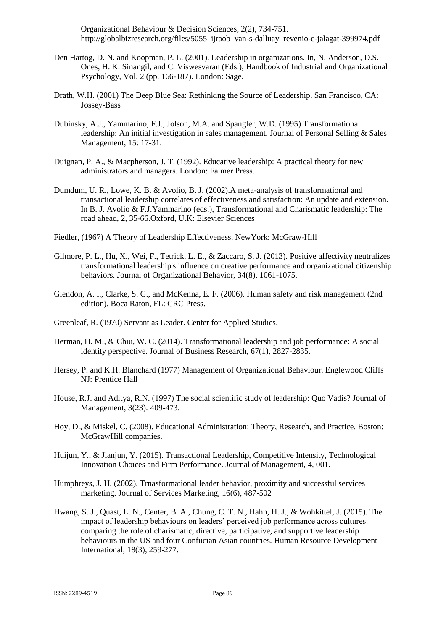Organizational Behaviour & Decision Sciences, 2(2), 734-751. http://globalbizresearch.org/files/5055\_ijraob\_van-s-dalluay\_revenio-c-jalagat-399974.pdf

- Den Hartog, D. N. and Koopman, P. L. (2001). Leadership in organizations. In, N. Anderson, D.S. Ones, H. K. Sinangil, and C. Viswesvaran (Eds.), Handbook of Industrial and Organizational Psychology, Vol. 2 (pp. 166-187). London: Sage.
- Drath, W.H. (2001) The Deep Blue Sea: Rethinking the Source of Leadership. San Francisco, CA: Jossey-Bass
- Dubinsky, A.J., Yammarino, F.J., Jolson, M.A. and Spangler, W.D. (1995) Transformational leadership: An initial investigation in sales management. Journal of Personal Selling & Sales Management, 15: 17-31.
- Duignan, P. A., & Macpherson, J. T. (1992). Educative leadership: A practical theory for new administrators and managers. London: Falmer Press.
- Dumdum, U. R., Lowe, K. B. & Avolio, B. J. (2002).A meta-analysis of transformational and transactional leadership correlates of effectiveness and satisfaction: An update and extension. In B. J. Avolio & F.J.Yammarino (eds.), Transformational and Charismatic leadership: The road ahead, 2, 35-66.Oxford, U.K: Elsevier Sciences
- Fiedler, (1967) A Theory of Leadership Effectiveness. NewYork: McGraw-Hill
- Gilmore, P. L., Hu, X., Wei, F., Tetrick, L. E., & Zaccaro, S. J. (2013). Positive affectivity neutralizes transformational leadership's influence on creative performance and organizational citizenship behaviors. Journal of Organizational Behavior, 34(8), 1061-1075.
- Glendon, A. I., Clarke, S. G., and McKenna, E. F. (2006). Human safety and risk management (2nd edition). Boca Raton, FL: CRC Press.
- Greenleaf, R. (1970) Servant as Leader. Center for Applied Studies.
- Herman, H. M., & Chiu, W. C. (2014). Transformational leadership and job performance: A social identity perspective. Journal of Business Research, 67(1), 2827-2835.
- Hersey, P. and K.H. Blanchard (1977) Management of Organizational Behaviour. Englewood Cliffs NJ: Prentice Hall
- House, R.J. and Aditya, R.N. (1997) The social scientific study of leadership: Quo Vadis? Journal of Management, 3(23): 409-473.
- Hoy, D., & Miskel, C. (2008). Educational Administration: Theory, Research, and Practice. Boston: McGrawHill companies.
- Huijun, Y., & Jianjun, Y. (2015). Transactional Leadership, Competitive Intensity, Technological Innovation Choices and Firm Performance. Journal of Management, 4, 001.
- Humphreys, J. H. (2002). Trnasformational leader behavior, proximity and successful services marketing. Journal of Services Marketing, 16(6), 487-502
- Hwang, S. J., Quast, L. N., Center, B. A., Chung, C. T. N., Hahn, H. J., & Wohkittel, J. (2015). The impact of leadership behaviours on leaders' perceived job performance across cultures: comparing the role of charismatic, directive, participative, and supportive leadership behaviours in the US and four Confucian Asian countries. Human Resource Development International, 18(3), 259-277.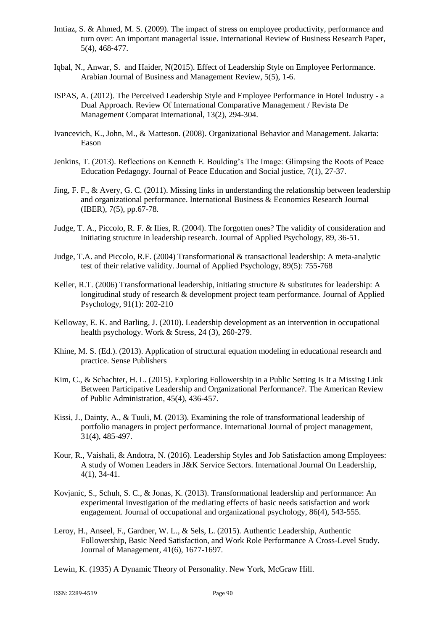- Imtiaz, S. & Ahmed, M. S. (2009). The impact of stress on employee productivity, performance and turn over: An important managerial issue. International Review of Business Research Paper, 5(4), 468‐477.
- Iqbal, N., Anwar, S. and Haider, N(2015). Effect of Leadership Style on Employee Performance. Arabian Journal of Business and Management Review, 5(5), 1-6.
- ISPAS, A. (2012). The Perceived Leadership Style and Employee Performance in Hotel Industry a Dual Approach. Review Of International Comparative Management / Revista De Management Comparat International, 13(2), 294-304.
- Ivancevich, K., John, M., & Matteson. (2008). Organizational Behavior and Management. Jakarta: Eason
- Jenkins, T. (2013). Reflections on Kenneth E. Boulding's The Image: Glimpsing the Roots of Peace Education Pedagogy. Journal of Peace Education and Social justice, 7(1), 27-37.
- Jing, F. F., & Avery, G. C. (2011). Missing links in understanding the relationship between leadership and organizational performance. International Business & Economics Research Journal (IBER), 7(5), pp.67-78.
- Judge, T. A., Piccolo, R. F. & Ilies, R. (2004). The forgotten ones? The validity of consideration and initiating structure in leadership research. Journal of Applied Psychology, 89, 36-51.
- Judge, T.A. and Piccolo, R.F. (2004) Transformational & transactional leadership: A meta-analytic test of their relative validity. Journal of Applied Psychology, 89(5): 755-768
- Keller, R.T. (2006) Transformational leadership, initiating structure & substitutes for leadership: A longitudinal study of research & development project team performance. Journal of Applied Psychology, 91(1): 202-210
- Kelloway, E. K. and Barling, J. (2010). Leadership development as an intervention in occupational health psychology. Work & Stress, 24 (3), 260-279.
- Khine, M. S. (Ed.). (2013). Application of structural equation modeling in educational research and practice. Sense Publishers
- Kim, C., & Schachter, H. L. (2015). Exploring Followership in a Public Setting Is It a Missing Link Between Participative Leadership and Organizational Performance?. The American Review of Public Administration, 45(4), 436-457.
- Kissi, J., Dainty, A., & Tuuli, M. (2013). Examining the role of transformational leadership of portfolio managers in project performance. International Journal of project management, 31(4), 485-497.
- Kour, R., Vaishali, & Andotra, N. (2016). Leadership Styles and Job Satisfaction among Employees: A study of Women Leaders in J&K Service Sectors. International Journal On Leadership, 4(1), 34-41.
- Kovjanic, S., Schuh, S. C., & Jonas, K. (2013). Transformational leadership and performance: An experimental investigation of the mediating effects of basic needs satisfaction and work engagement. Journal of occupational and organizational psychology, 86(4), 543-555.
- Leroy, H., Anseel, F., Gardner, W. L., & Sels, L. (2015). Authentic Leadership, Authentic Followership, Basic Need Satisfaction, and Work Role Performance A Cross-Level Study. Journal of Management, 41(6), 1677-1697.
- Lewin, K. (1935) A Dynamic Theory of Personality. New York, McGraw Hill.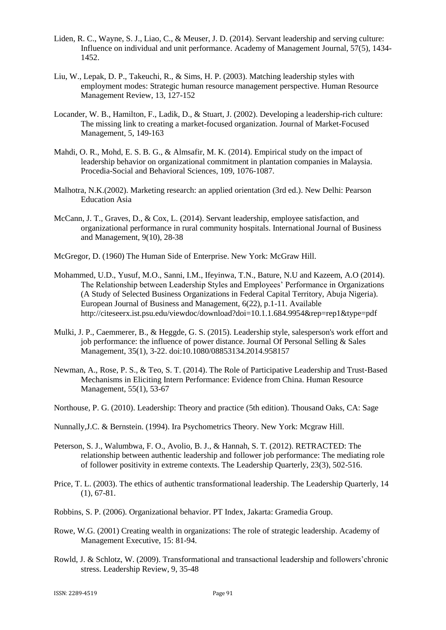- Liden, R. C., Wayne, S. J., Liao, C., & Meuser, J. D. (2014). Servant leadership and serving culture: Influence on individual and unit performance. Academy of Management Journal, 57(5), 1434- 1452.
- Liu, W., Lepak, D. P., Takeuchi, R., & Sims, H. P. (2003). Matching leadership styles with employment modes: Strategic human resource management perspective. Human Resource Management Review, 13, 127-152
- Locander, W. B., Hamilton, F., Ladik, D., & Stuart, J. (2002). Developing a leadership-rich culture: The missing link to creating a market-focused organization. Journal of Market-Focused Management, 5, 149-163
- Mahdi, O. R., Mohd, E. S. B. G., & Almsafir, M. K. (2014). Empirical study on the impact of leadership behavior on organizational commitment in plantation companies in Malaysia. Procedia-Social and Behavioral Sciences, 109, 1076-1087.
- Malhotra, N.K.(2002). Marketing research: an applied orientation (3rd ed.). New Delhi: Pearson Education Asia
- McCann, J. T., Graves, D., & Cox, L. (2014). Servant leadership, employee satisfaction, and organizational performance in rural community hospitals. International Journal of Business and Management, 9(10), 28-38
- McGregor, D. (1960) The Human Side of Enterprise. New York: McGraw Hill.
- Mohammed, U.D., Yusuf, M.O., Sanni, I.M., Ifeyinwa, T.N., Bature, N.U and Kazeem, A.O (2014). The Relationship between Leadership Styles and Employees' Performance in Organizations (A Study of Selected Business Organizations in Federal Capital Territory, Abuja Nigeria). European Journal of Business and Management, 6(22), p.1-11. Available http://citeseerx.ist.psu.edu/viewdoc/download?doi=10.1.1.684.9954&rep=rep1&type=pdf
- Mulki, J. P., Caemmerer, B., & Heggde, G. S. (2015). Leadership style, salesperson's work effort and job performance: the influence of power distance. Journal Of Personal Selling & Sales Management, 35(1), 3-22. doi:10.1080/08853134.2014.958157
- Newman, A., Rose, P. S., & Teo, S. T. (2014). The Role of Participative Leadership and Trust‐Based Mechanisms in Eliciting Intern Performance: Evidence from China. Human Resource Management, 55(1), 53-67
- Northouse, P. G. (2010). Leadership: Theory and practice (5th edition). Thousand Oaks, CA: Sage
- Nunnally,J.C. & Bernstein. (1994). Ira Psychometrics Theory. New York: Mcgraw Hill.
- Peterson, S. J., Walumbwa, F. O., Avolio, B. J., & Hannah, S. T. (2012). RETRACTED: The relationship between authentic leadership and follower job performance: The mediating role of follower positivity in extreme contexts. The Leadership Quarterly, 23(3), 502-516.
- Price, T. L. (2003). The ethics of authentic transformational leadership. The Leadership Quarterly, 14 (1), 67-81.
- Robbins, S. P. (2006). Organizational behavior. PT Index, Jakarta: Gramedia Group.
- Rowe, W.G. (2001) Creating wealth in organizations: The role of strategic leadership. Academy of Management Executive, 15: 81-94.
- Rowld, J. & Schlotz, W. (2009). Transformational and transactional leadership and followers'chronic stress. Leadership Review, 9, 35-48